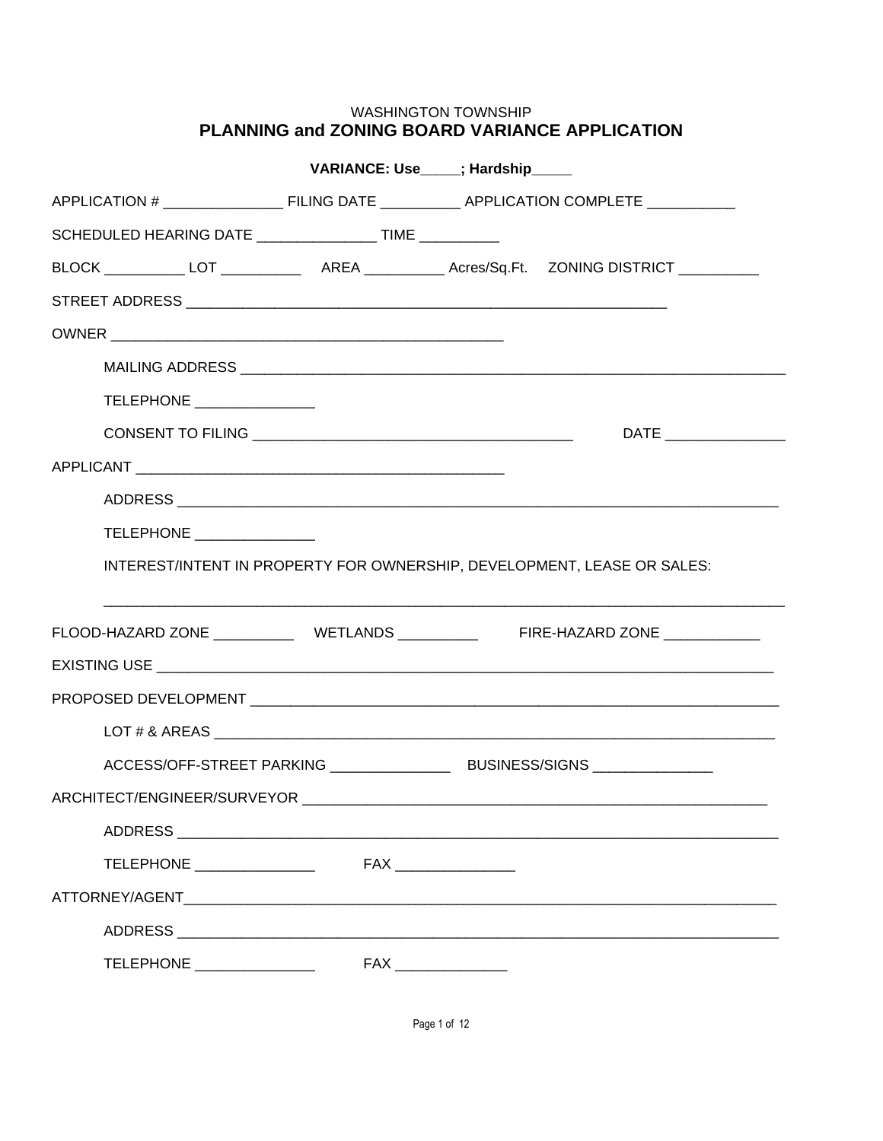### **WASHINGTON TOWNSHIP** PLANNING and ZONING BOARD VARIANCE APPLICATION

|                                                                                                                | VARIANCE: Use____; Hardship____ |                      |  |
|----------------------------------------------------------------------------------------------------------------|---------------------------------|----------------------|--|
|                                                                                                                |                                 |                      |  |
| SCHEDULED HEARING DATE __________________TIME ___________                                                      |                                 |                      |  |
| BLOCK __________ LOT __________________ AREA _____________ Acres/Sq.Ft. ZONING DISTRICT ___________            |                                 |                      |  |
|                                                                                                                |                                 |                      |  |
|                                                                                                                |                                 |                      |  |
|                                                                                                                |                                 |                      |  |
| TELEPHONE ________________                                                                                     |                                 |                      |  |
|                                                                                                                |                                 |                      |  |
|                                                                                                                |                                 |                      |  |
|                                                                                                                |                                 |                      |  |
| TELEPHONE ________________                                                                                     |                                 |                      |  |
| INTEREST/INTENT IN PROPERTY FOR OWNERSHIP, DEVELOPMENT, LEASE OR SALES:                                        |                                 |                      |  |
|                                                                                                                |                                 |                      |  |
|                                                                                                                |                                 |                      |  |
|                                                                                                                |                                 |                      |  |
|                                                                                                                |                                 |                      |  |
|                                                                                                                |                                 |                      |  |
| ARCHITECT/ENGINEER/SURVEYOR                                                                                    |                                 |                      |  |
|                                                                                                                |                                 |                      |  |
| TELEPHONE _________________                                                                                    |                                 |                      |  |
|                                                                                                                |                                 |                      |  |
| ADDRESS ADDRESS AND THE STATE OF THE STATE OF THE STATE OF THE STATE OF THE STATE OF THE STATE OF THE STATE OF |                                 |                      |  |
| TELEPHONE ________________                                                                                     |                                 | FAX ________________ |  |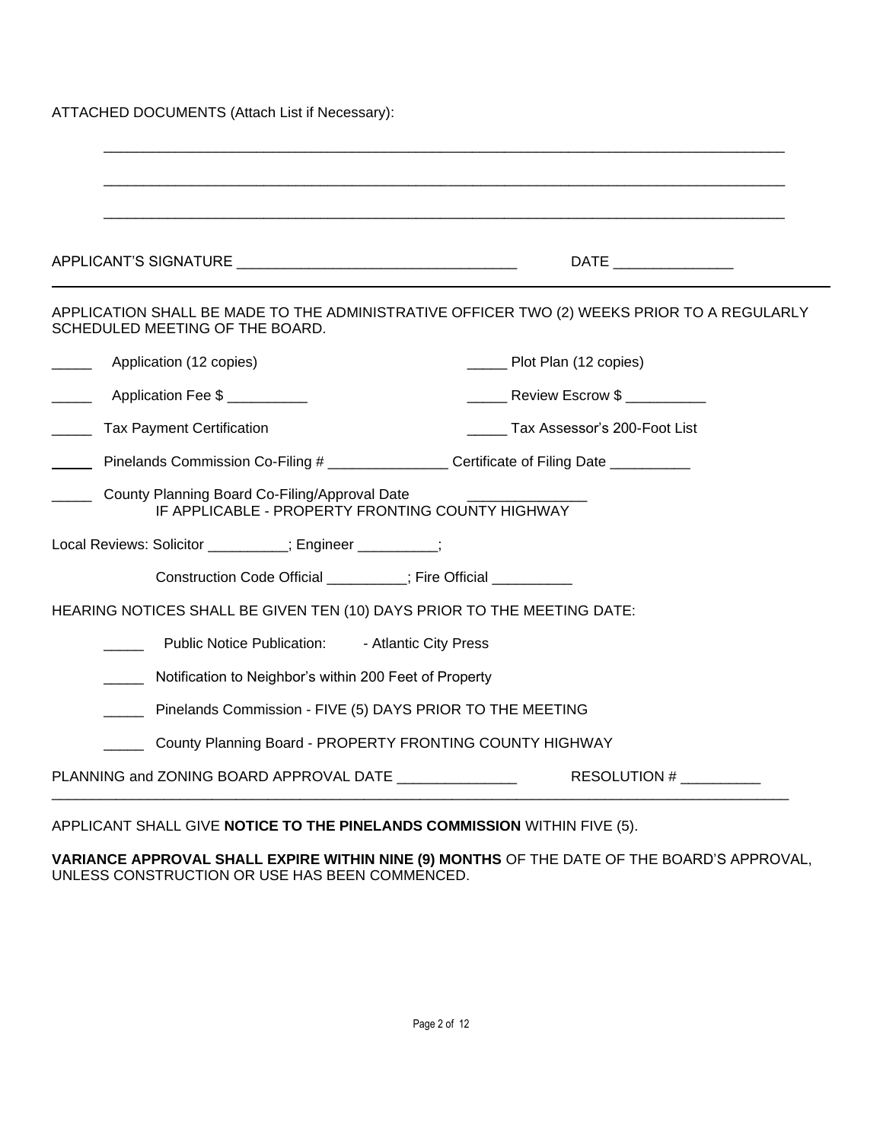ATTACHED DOCUMENTS (Attach List if Necessary):

|                                                                                                                               | DATE <b>DESIGNATION</b>            |  |
|-------------------------------------------------------------------------------------------------------------------------------|------------------------------------|--|
| APPLICATION SHALL BE MADE TO THE ADMINISTRATIVE OFFICER TWO (2) WEEKS PRIOR TO A REGULARLY<br>SCHEDULED MEETING OF THE BOARD. |                                    |  |
| _____ Application (12 copies)                                                                                                 | _____ Plot Plan (12 copies)        |  |
| Application Fee \$                                                                                                            | ______ Review Escrow \$ __________ |  |
| <b>Tax Payment Certification</b>                                                                                              | Tax Assessor's 200-Foot List       |  |
| Pinelands Commission Co-Filing #                                                                                              |                                    |  |
| County Planning Board Co-Filing/Approval Date<br>IF APPLICABLE - PROPERTY FRONTING COUNTY HIGHWAY                             |                                    |  |
| Local Reviews: Solicitor ________; Engineer ________;                                                                         |                                    |  |
| Construction Code Official ________; Fire Official _________                                                                  |                                    |  |
| HEARING NOTICES SHALL BE GIVEN TEN (10) DAYS PRIOR TO THE MEETING DATE:                                                       |                                    |  |
| Public Notice Publication: - Atlantic City Press                                                                              |                                    |  |
| Notification to Neighbor's within 200 Feet of Property                                                                        |                                    |  |
| Pinelands Commission - FIVE (5) DAYS PRIOR TO THE MEETING                                                                     |                                    |  |
| County Planning Board - PROPERTY FRONTING COUNTY HIGHWAY                                                                      |                                    |  |
| PLANNING and ZONING BOARD APPROVAL DATE _______________                                                                       | RESOLUTION # _________             |  |

## APPLICANT SHALL GIVE **NOTICE TO THE PINELANDS COMMISSION** WITHIN FIVE (5).

**VARIANCE APPROVAL SHALL EXPIRE WITHIN NINE (9) MONTHS** OF THE DATE OF THE BOARD'S APPROVAL, UNLESS CONSTRUCTION OR USE HAS BEEN COMMENCED.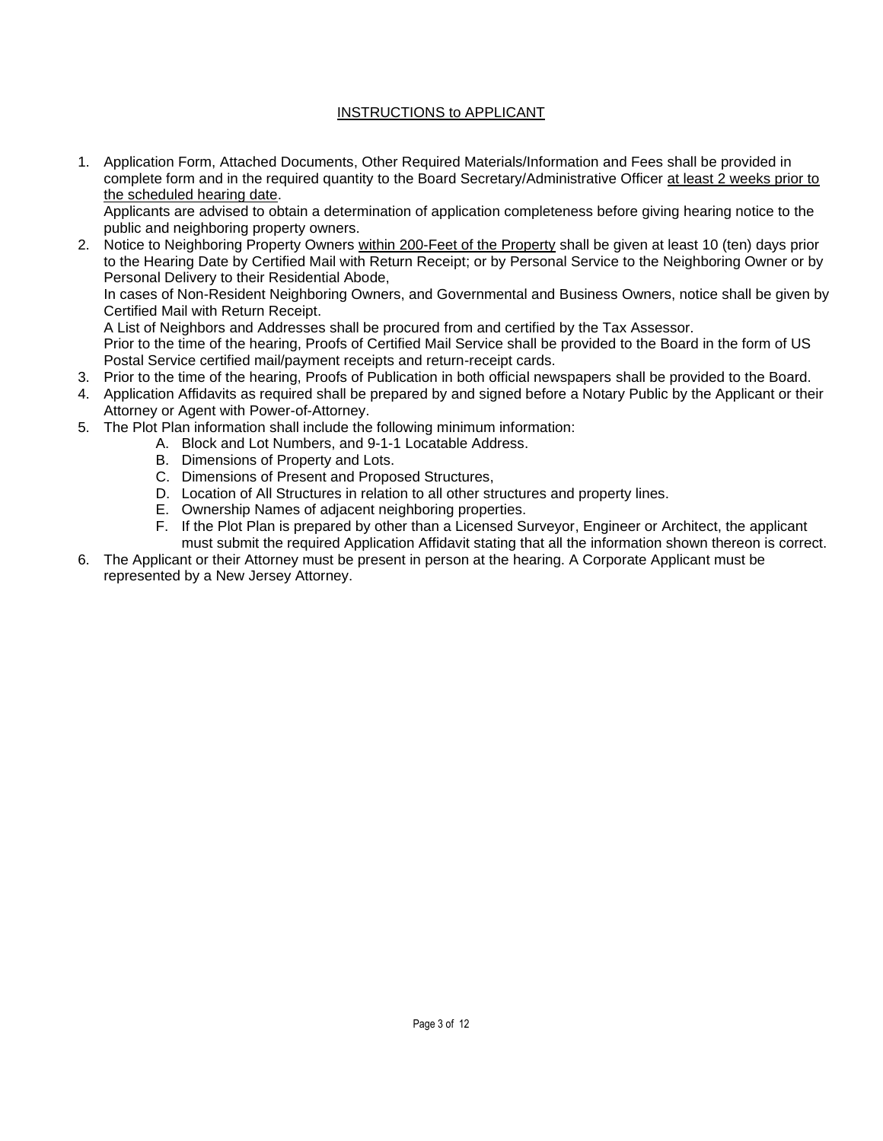### INSTRUCTIONS to APPLICANT

1. Application Form, Attached Documents, Other Required Materials/Information and Fees shall be provided in complete form and in the required quantity to the Board Secretary/Administrative Officer at least 2 weeks prior to the scheduled hearing date.

Applicants are advised to obtain a determination of application completeness before giving hearing notice to the public and neighboring property owners.

2. Notice to Neighboring Property Owners within 200-Feet of the Property shall be given at least 10 (ten) days prior to the Hearing Date by Certified Mail with Return Receipt; or by Personal Service to the Neighboring Owner or by Personal Delivery to their Residential Abode,

In cases of Non-Resident Neighboring Owners, and Governmental and Business Owners, notice shall be given by Certified Mail with Return Receipt.

A List of Neighbors and Addresses shall be procured from and certified by the Tax Assessor.

Prior to the time of the hearing, Proofs of Certified Mail Service shall be provided to the Board in the form of US Postal Service certified mail/payment receipts and return-receipt cards.

- 3. Prior to the time of the hearing, Proofs of Publication in both official newspapers shall be provided to the Board.
- 4. Application Affidavits as required shall be prepared by and signed before a Notary Public by the Applicant or their Attorney or Agent with Power-of-Attorney.
- 5. The Plot Plan information shall include the following minimum information:
	- A. Block and Lot Numbers, and 9-1-1 Locatable Address.
		- B. Dimensions of Property and Lots.
		- C. Dimensions of Present and Proposed Structures,
		- D. Location of All Structures in relation to all other structures and property lines.
	- E. Ownership Names of adjacent neighboring properties.
	- F. If the Plot Plan is prepared by other than a Licensed Surveyor, Engineer or Architect, the applicant must submit the required Application Affidavit stating that all the information shown thereon is correct.
- 6. The Applicant or their Attorney must be present in person at the hearing. A Corporate Applicant must be represented by a New Jersey Attorney.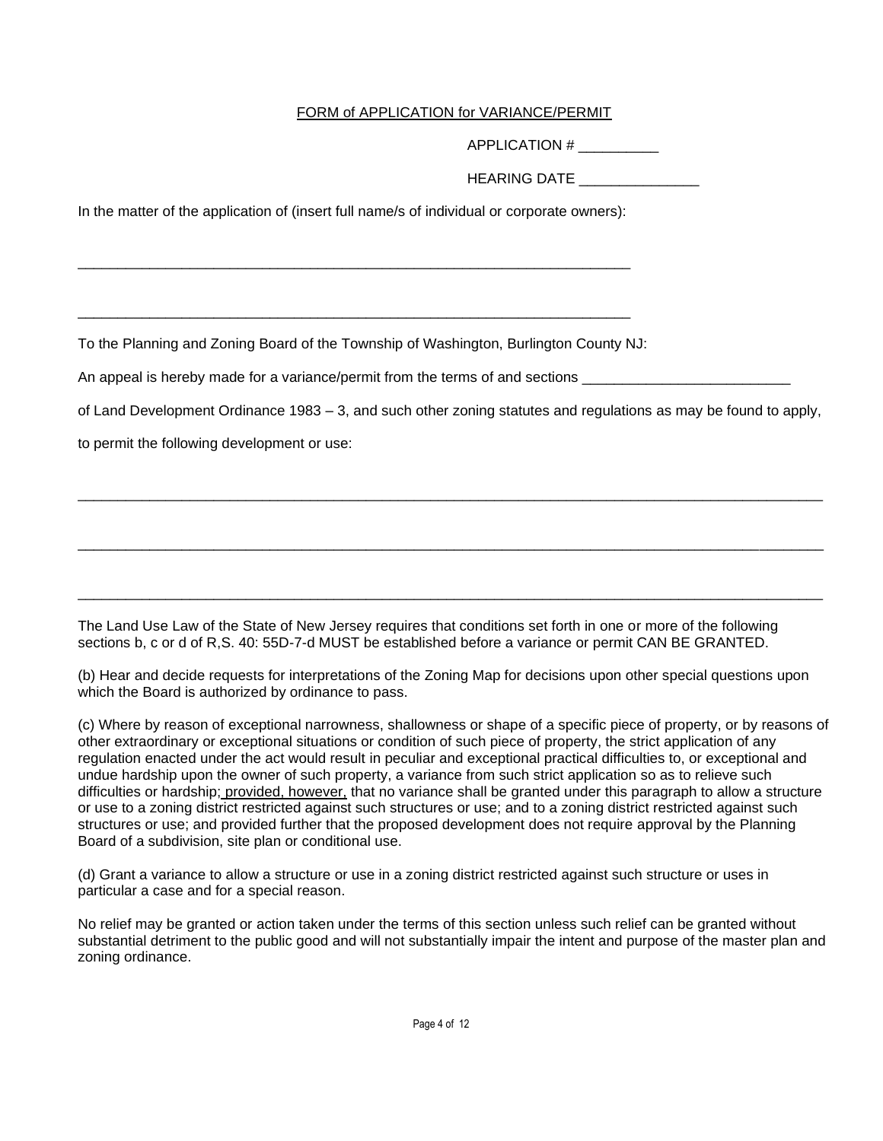#### FORM of APPLICATION for VARIANCE/PERMIT

APPLICATION # \_\_\_\_\_\_\_\_\_\_

| HEARING DATE |  |
|--------------|--|
|--------------|--|

In the matter of the application of (insert full name/s of individual or corporate owners):

\_\_\_\_\_\_\_\_\_\_\_\_\_\_\_\_\_\_\_\_\_\_\_\_\_\_\_\_\_\_\_\_\_\_\_\_\_\_\_\_\_\_\_\_\_\_\_\_\_\_\_\_\_\_\_\_\_\_\_\_\_\_\_\_\_\_\_\_\_

\_\_\_\_\_\_\_\_\_\_\_\_\_\_\_\_\_\_\_\_\_\_\_\_\_\_\_\_\_\_\_\_\_\_\_\_\_\_\_\_\_\_\_\_\_\_\_\_\_\_\_\_\_\_\_\_\_\_\_\_\_\_\_\_\_\_\_\_\_

To the Planning and Zoning Board of the Township of Washington, Burlington County NJ:

An appeal is hereby made for a variance/permit from the terms of and sections

of Land Development Ordinance 1983 – 3, and such other zoning statutes and regulations as may be found to apply,

 $\Box$ 

\_\_\_\_\_\_\_\_\_\_\_\_\_\_\_\_\_\_\_\_\_\_\_\_\_\_\_\_\_\_\_\_\_\_\_\_\_\_\_\_\_\_\_\_\_\_\_\_\_\_\_\_\_\_\_\_\_\_\_\_\_\_\_\_\_\_\_\_\_\_\_\_\_\_\_\_\_\_\_\_\_\_\_\_\_\_\_\_\_\_\_\_\_

 $\Box$ 

to permit the following development or use:

The Land Use Law of the State of New Jersey requires that conditions set forth in one or more of the following sections b, c or d of R,S. 40: 55D-7-d MUST be established before a variance or permit CAN BE GRANTED.

(b) Hear and decide requests for interpretations of the Zoning Map for decisions upon other special questions upon which the Board is authorized by ordinance to pass.

(c) Where by reason of exceptional narrowness, shallowness or shape of a specific piece of property, or by reasons of other extraordinary or exceptional situations or condition of such piece of property, the strict application of any regulation enacted under the act would result in peculiar and exceptional practical difficulties to, or exceptional and undue hardship upon the owner of such property, a variance from such strict application so as to relieve such difficulties or hardship; provided, however, that no variance shall be granted under this paragraph to allow a structure or use to a zoning district restricted against such structures or use; and to a zoning district restricted against such structures or use; and provided further that the proposed development does not require approval by the Planning Board of a subdivision, site plan or conditional use.

(d) Grant a variance to allow a structure or use in a zoning district restricted against such structure or uses in particular a case and for a special reason.

No relief may be granted or action taken under the terms of this section unless such relief can be granted without substantial detriment to the public good and will not substantially impair the intent and purpose of the master plan and zoning ordinance.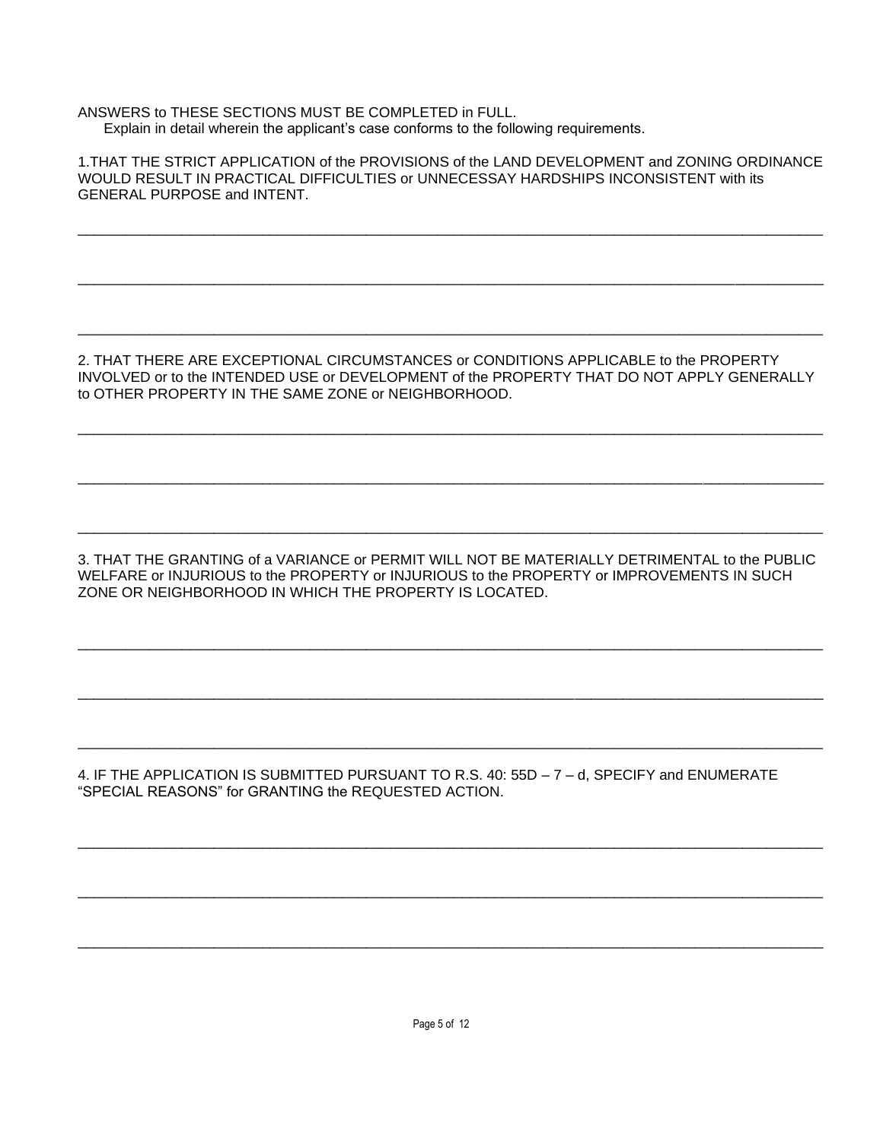ANSWERS to THESE SECTIONS MUST BE COMPLETED in FULL. Explain in detail wherein the applicant's case conforms to the following requirements.

1.THAT THE STRICT APPLICATION of the PROVISIONS of the LAND DEVELOPMENT and ZONING ORDINANCE WOULD RESULT IN PRACTICAL DIFFICULTIES or UNNECESSAY HARDSHIPS INCONSISTENT with its GENERAL PURPOSE and INTENT.

\_\_\_\_\_\_\_\_\_\_\_\_\_\_\_\_\_\_\_\_\_\_\_\_\_\_\_\_\_\_\_\_\_\_\_\_\_\_\_\_\_\_\_\_\_\_\_\_\_\_\_\_\_\_\_\_\_\_\_\_\_\_\_\_\_\_\_\_\_\_\_\_\_\_\_\_\_\_\_\_\_\_\_\_\_\_\_\_\_\_\_\_\_

\_\_\_\_\_\_\_\_\_\_\_\_\_\_\_\_\_\_\_\_\_\_\_\_\_\_\_\_\_\_\_\_\_\_\_\_\_\_\_\_\_\_\_\_\_\_\_\_\_\_\_\_\_\_\_\_\_\_\_\_\_\_\_\_\_\_\_\_\_\_\_\_\_\_\_\_\_\_\_\_\_\_\_\_\_\_\_\_\_\_\_\_\_

\_\_\_\_\_\_\_\_\_\_\_\_\_\_\_\_\_\_\_\_\_\_\_\_\_\_\_\_\_\_\_\_\_\_\_\_\_\_\_\_\_\_\_\_\_\_\_\_\_\_\_\_\_\_\_\_\_\_\_\_\_\_\_\_\_\_\_\_\_\_\_\_\_\_\_\_\_\_\_\_\_\_\_\_\_\_\_\_\_\_\_\_\_

2. THAT THERE ARE EXCEPTIONAL CIRCUMSTANCES or CONDITIONS APPLICABLE to the PROPERTY INVOLVED or to the INTENDED USE or DEVELOPMENT of the PROPERTY THAT DO NOT APPLY GENERALLY to OTHER PROPERTY IN THE SAME ZONE or NEIGHBORHOOD.

\_\_\_\_\_\_\_\_\_\_\_\_\_\_\_\_\_\_\_\_\_\_\_\_\_\_\_\_\_\_\_\_\_\_\_\_\_\_\_\_\_\_\_\_\_\_\_\_\_\_\_\_\_\_\_\_\_\_\_\_\_\_\_\_\_\_\_\_\_\_\_\_\_\_\_\_\_\_\_\_\_\_\_\_\_\_\_\_\_\_\_\_\_

\_\_\_\_\_\_\_\_\_\_\_\_\_\_\_\_\_\_\_\_\_\_\_\_\_\_\_\_\_\_\_\_\_\_\_\_\_\_\_\_\_\_\_\_\_\_\_\_\_\_\_\_\_\_\_\_\_\_\_\_\_\_\_\_\_\_\_\_\_\_\_\_\_\_\_\_\_\_\_\_\_\_\_\_\_\_\_\_\_\_\_\_\_

 $\Box$ 

3. THAT THE GRANTING of a VARIANCE or PERMIT WILL NOT BE MATERIALLY DETRIMENTAL to the PUBLIC WELFARE or INJURIOUS to the PROPERTY or INJURIOUS to the PROPERTY or IMPROVEMENTS IN SUCH ZONE OR NEIGHBORHOOD IN WHICH THE PROPERTY IS LOCATED.

 $\Box$ 

 $\Box$ 

 $\Box$ 

 $\Box$ 

\_\_\_\_\_\_\_\_\_\_\_\_\_\_\_\_\_\_\_\_\_\_\_\_\_\_\_\_\_\_\_\_\_\_\_\_\_\_\_\_\_\_\_\_\_\_\_\_\_\_\_\_\_\_\_\_\_\_\_\_\_\_\_\_\_\_\_\_\_\_\_\_\_\_\_\_\_\_\_\_\_\_\_\_\_\_\_\_\_\_\_\_\_

 $\Box$ 

4. IF THE APPLICATION IS SUBMITTED PURSUANT TO R.S. 40: 55D – 7 – d, SPECIFY and ENUMERATE "SPECIAL REASONS" for GRANTING the REQUESTED ACTION.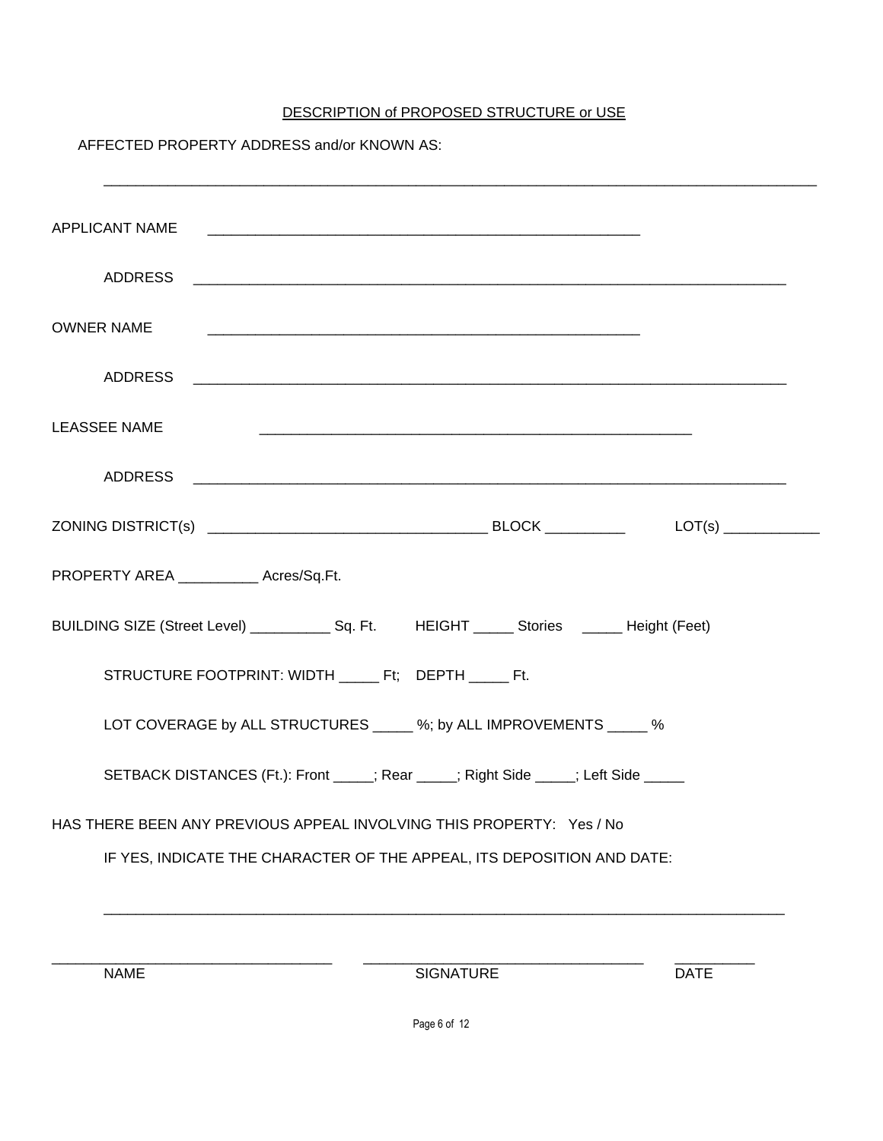## DESCRIPTION of PROPOSED STRUCTURE or USE

# AFFECTED PROPERTY ADDRESS and/or KNOWN AS:

| APPLICANT NAME                                                                                |
|-----------------------------------------------------------------------------------------------|
|                                                                                               |
| <b>OWNER NAME</b>                                                                             |
|                                                                                               |
| <b>LEASSEE NAME</b>                                                                           |
|                                                                                               |
|                                                                                               |
| PROPERTY AREA ___________ Acres/Sq.Ft.                                                        |
| BUILDING SIZE (Street Level) _____________ Sq. Ft. HEIGHT ______ Stories ______ Height (Feet) |
| STRUCTURE FOOTPRINT: WIDTH ______ Ft; DEPTH ______ Ft.                                        |
| LOT COVERAGE by ALL STRUCTURES _____ %; by ALL IMPROVEMENTS _____ %                           |
| SETBACK DISTANCES (Ft.): Front _____; Rear _____; Right Side _____; Left Side _____           |
| HAS THERE BEEN ANY PREVIOUS APPEAL INVOLVING THIS PROPERTY: Yes / No                          |
| IF YES, INDICATE THE CHARACTER OF THE APPEAL, ITS DEPOSITION AND DATE:                        |
|                                                                                               |

NAME DATE SIGNATURE DATE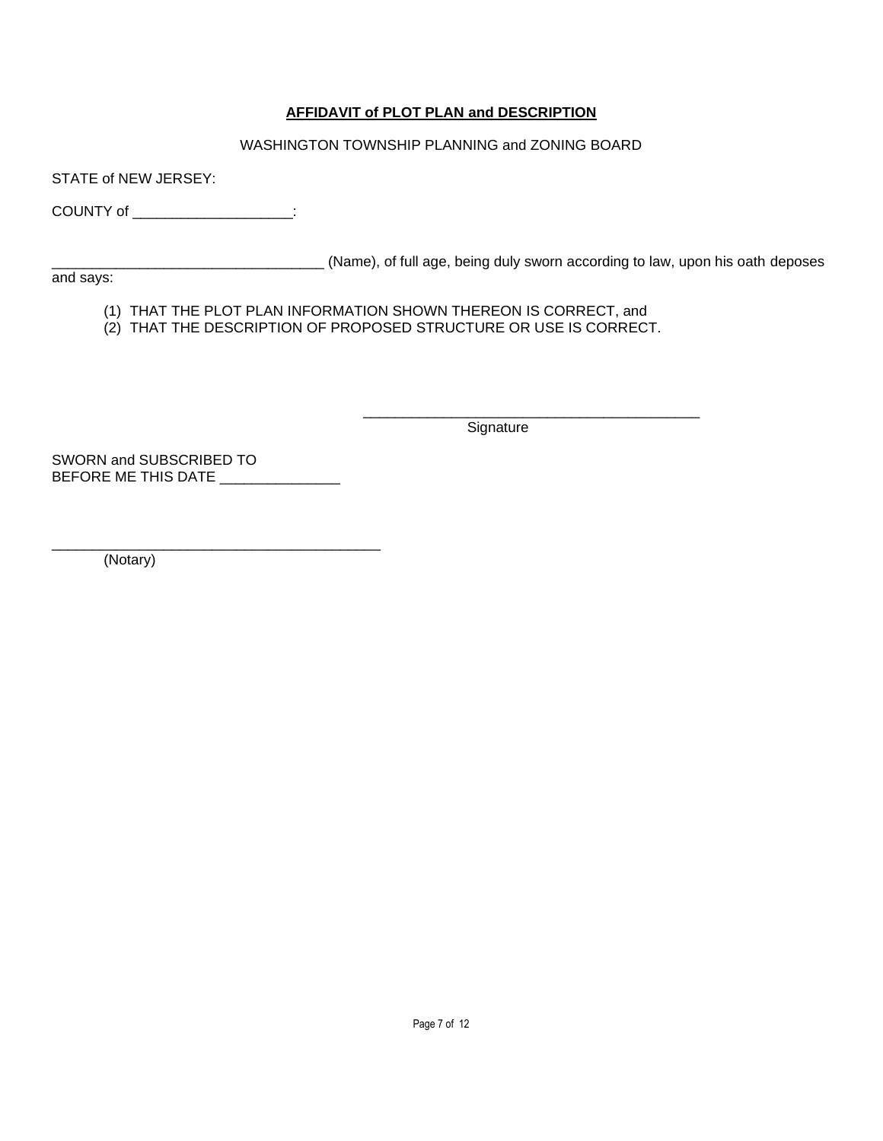## **AFFIDAVIT of PLOT PLAN and DESCRIPTION**

WASHINGTON TOWNSHIP PLANNING and ZONING BOARD

STATE of NEW JERSEY:

COUNTY of \_\_\_\_\_\_\_\_\_\_\_\_\_\_\_\_\_\_\_\_:

\_\_\_\_\_\_\_\_\_\_\_\_\_\_\_\_\_\_\_\_\_\_\_\_\_\_\_\_\_\_\_\_\_\_ (Name), of full age, being duly sworn according to law, upon his oath deposes

and says:

(1) THAT THE PLOT PLAN INFORMATION SHOWN THEREON IS CORRECT, and

(2) THAT THE DESCRIPTION OF PROPOSED STRUCTURE OR USE IS CORRECT.

**Signature** 

\_\_\_\_\_\_\_\_\_\_\_\_\_\_\_\_\_\_\_\_\_\_\_\_\_\_\_\_\_\_\_\_\_\_\_\_\_\_\_\_\_\_

SWORN and SUBSCRIBED TO BEFORE ME THIS DATE \_\_\_\_\_\_\_\_\_\_\_\_\_\_\_\_

\_\_\_\_\_\_\_\_\_\_\_\_\_\_\_\_\_\_\_\_\_\_\_\_\_\_\_\_\_\_\_\_\_\_\_\_\_\_\_\_\_ (Notary)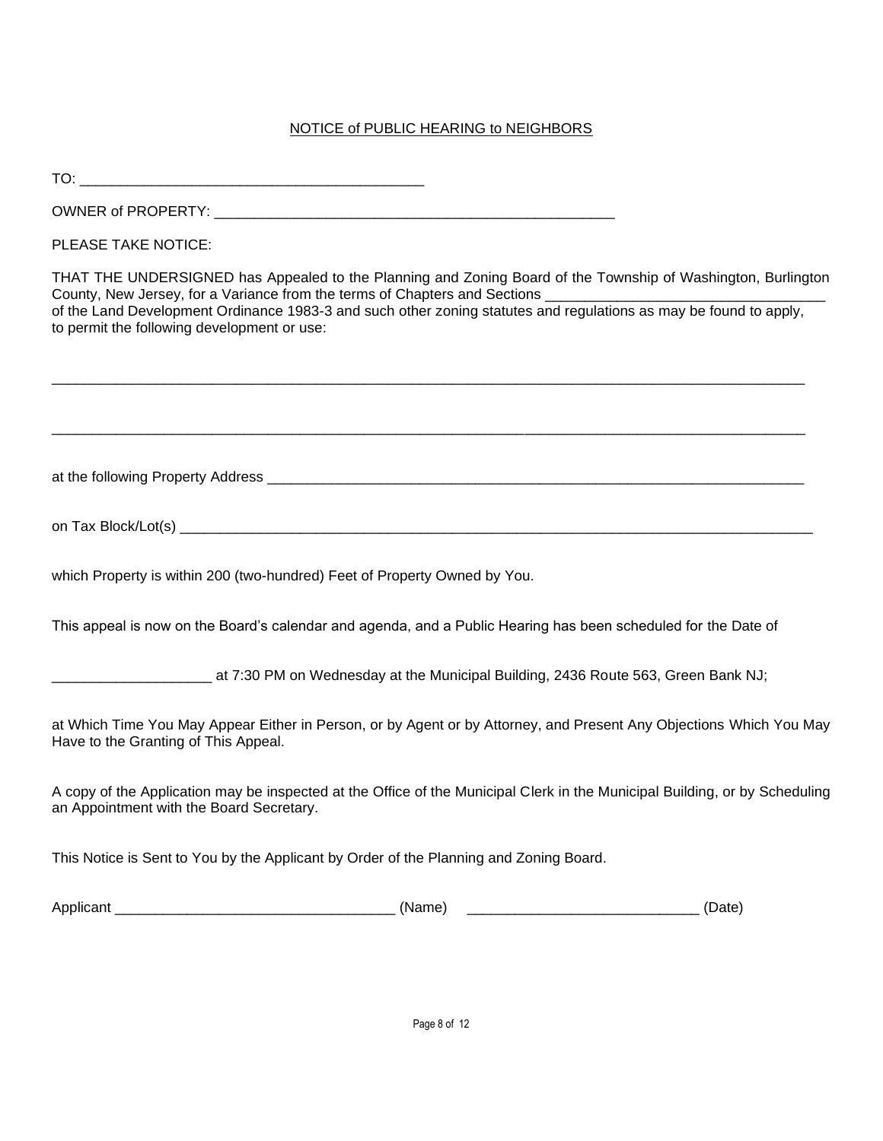## NOTICE of PUBLIC HEARING to NEIGHBORS

| PLEASE TAKE NOTICE:                                                                                                                                                     |
|-------------------------------------------------------------------------------------------------------------------------------------------------------------------------|
| THAT THE UNDERSIGNED has Appealed to the Planning and Zoning Board of the Township of Washington, Burlington<br>to permit the following development or use:             |
|                                                                                                                                                                         |
|                                                                                                                                                                         |
|                                                                                                                                                                         |
| which Property is within 200 (two-hundred) Feet of Property Owned by You.                                                                                               |
| This appeal is now on the Board's calendar and agenda, and a Public Hearing has been scheduled for the Date of                                                          |
| _______________________at 7:30 PM on Wednesday at the Municipal Building, 2436 Route 563, Green Bank NJ;                                                                |
| at Which Time You May Appear Either in Person, or by Agent or by Attorney, and Present Any Objections Which You May<br>Have to the Granting of This Appeal.             |
| A copy of the Application may be inspected at the Office of the Municipal Clerk in the Municipal Building, or by Scheduling<br>an Appointment with the Board Secretary. |
| This Notice is Sent to You by the Applicant by Order of the Planning and Zoning Board.                                                                                  |
| (Date)                                                                                                                                                                  |
|                                                                                                                                                                         |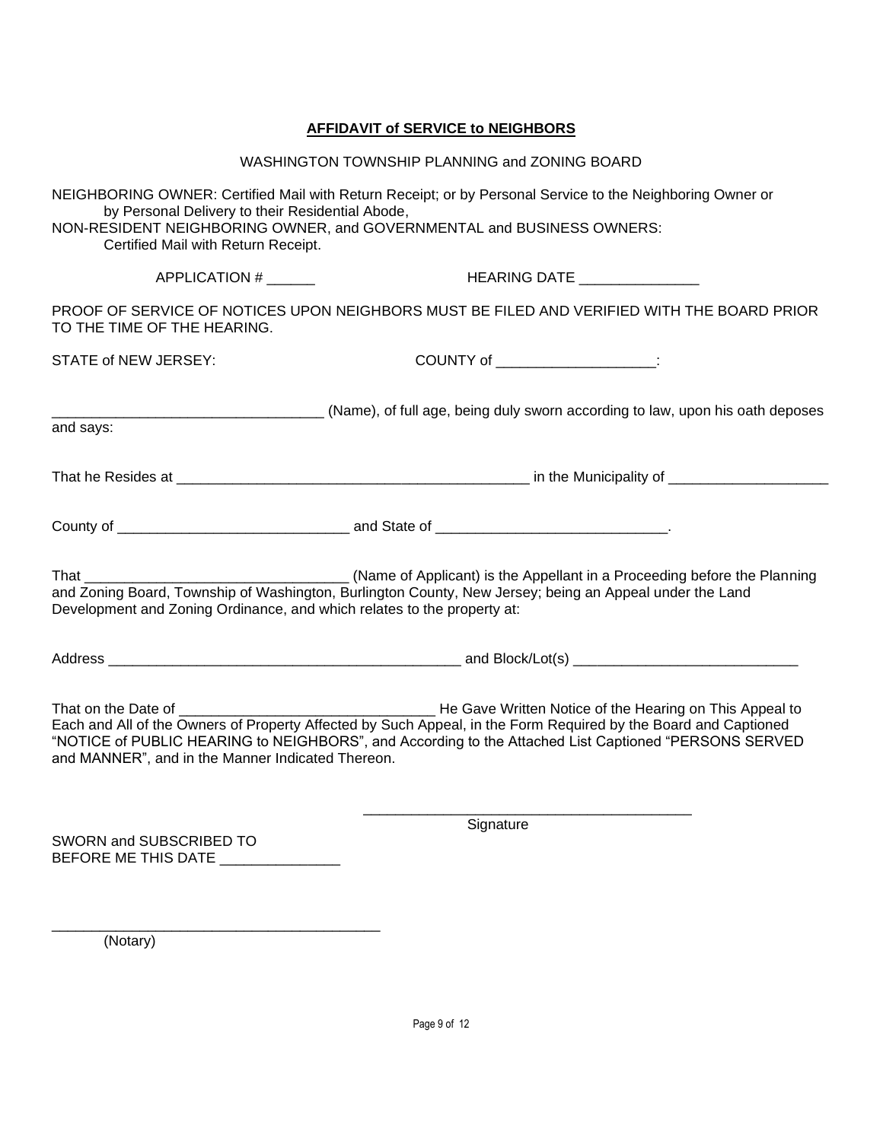# **AFFIDAVIT of SERVICE to NEIGHBORS**

|                                                                                         | WASHINGTON TOWNSHIP PLANNING and ZONING BOARD                                                                                                                                                                            |
|-----------------------------------------------------------------------------------------|--------------------------------------------------------------------------------------------------------------------------------------------------------------------------------------------------------------------------|
| by Personal Delivery to their Residential Abode,<br>Certified Mail with Return Receipt. | NEIGHBORING OWNER: Certified Mail with Return Receipt; or by Personal Service to the Neighboring Owner or<br>NON-RESIDENT NEIGHBORING OWNER, and GOVERNMENTAL and BUSINESS OWNERS:                                       |
| APPLICATION #                                                                           | HEARING DATE _________________                                                                                                                                                                                           |
| TO THE TIME OF THE HEARING.                                                             | PROOF OF SERVICE OF NOTICES UPON NEIGHBORS MUST BE FILED AND VERIFIED WITH THE BOARD PRIOR                                                                                                                               |
| <b>STATE of NEW JERSEY:</b>                                                             | COUNTY of _____________________:                                                                                                                                                                                         |
| and says:                                                                               | (Name), of full age, being duly sworn according to law, upon his oath deposes                                                                                                                                            |
|                                                                                         |                                                                                                                                                                                                                          |
|                                                                                         |                                                                                                                                                                                                                          |
| Development and Zoning Ordinance, and which relates to the property at:                 |                                                                                                                                                                                                                          |
|                                                                                         |                                                                                                                                                                                                                          |
| and MANNER", and in the Manner Indicated Thereon.                                       | Each and All of the Owners of Property Affected by Such Appeal, in the Form Required by the Board and Captioned<br>"NOTICE of PUBLIC HEARING to NEIGHBORS", and According to the Attached List Captioned "PERSONS SERVED |
| SWORN and SUBSCRIBED TO                                                                 | Signature                                                                                                                                                                                                                |

BEFORE ME THIS DATE \_\_\_\_\_\_\_\_\_\_\_\_\_\_\_

\_\_\_\_\_\_\_\_\_\_\_\_\_\_\_\_\_\_\_\_\_\_\_\_\_\_\_\_\_\_\_\_\_\_\_\_\_\_\_\_\_ (Notary)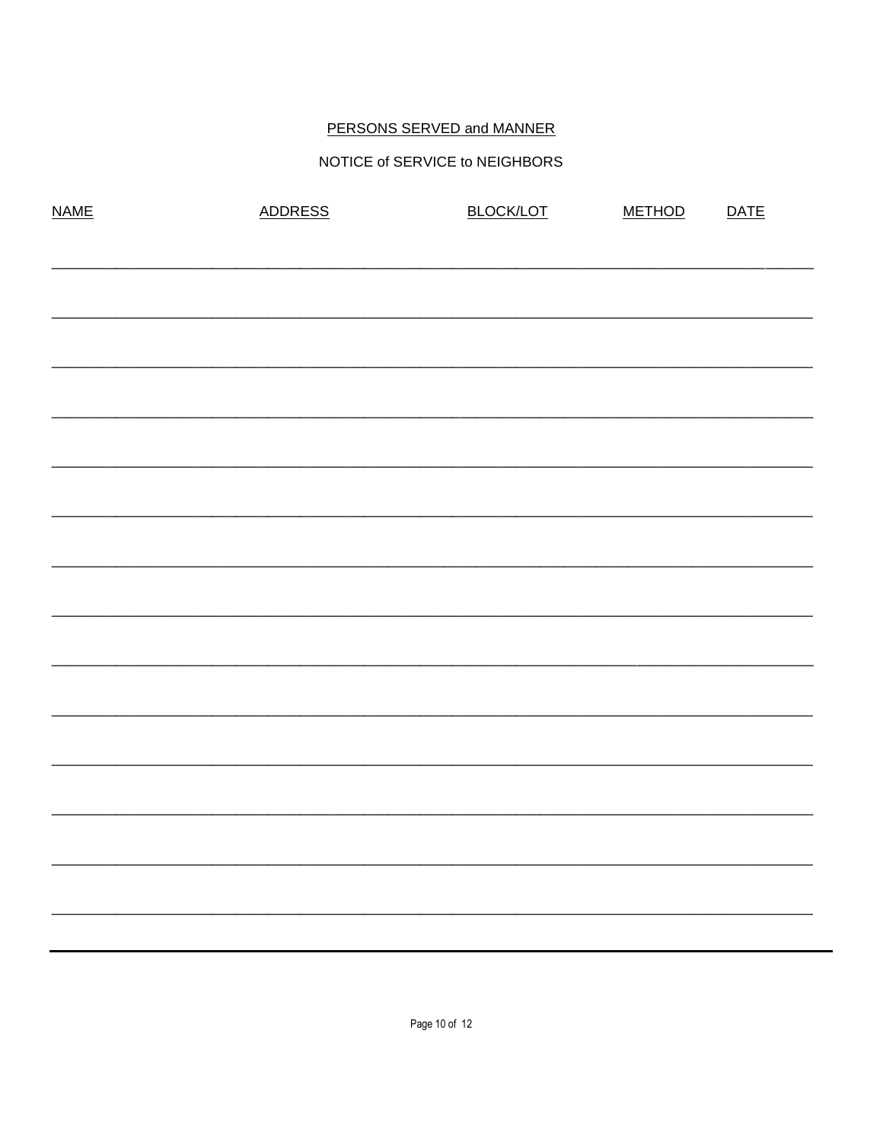# PERSONS SERVED and MANNER

### NOTICE of SERVICE to NEIGHBORS

| <b>NAME</b> | <b>ADDRESS</b> | <b>BLOCK/LOT</b> | <b>METHOD</b> | <b>DATE</b> |
|-------------|----------------|------------------|---------------|-------------|
|             |                |                  |               |             |
|             |                |                  |               |             |
|             |                |                  |               |             |
|             |                |                  |               |             |
|             |                |                  |               |             |
|             |                |                  |               |             |
|             |                |                  |               |             |
|             |                |                  |               |             |
|             |                |                  |               |             |
|             |                |                  |               |             |
|             |                |                  |               |             |
|             |                |                  |               |             |
|             |                |                  |               |             |
|             |                |                  |               |             |
|             |                |                  |               |             |
|             |                |                  |               |             |
|             |                |                  |               |             |
|             |                |                  |               |             |
|             |                |                  |               |             |
|             |                |                  |               |             |
|             |                |                  |               |             |
|             |                |                  |               |             |
|             |                |                  |               |             |
|             |                |                  |               |             |
|             |                |                  |               |             |
|             |                |                  |               |             |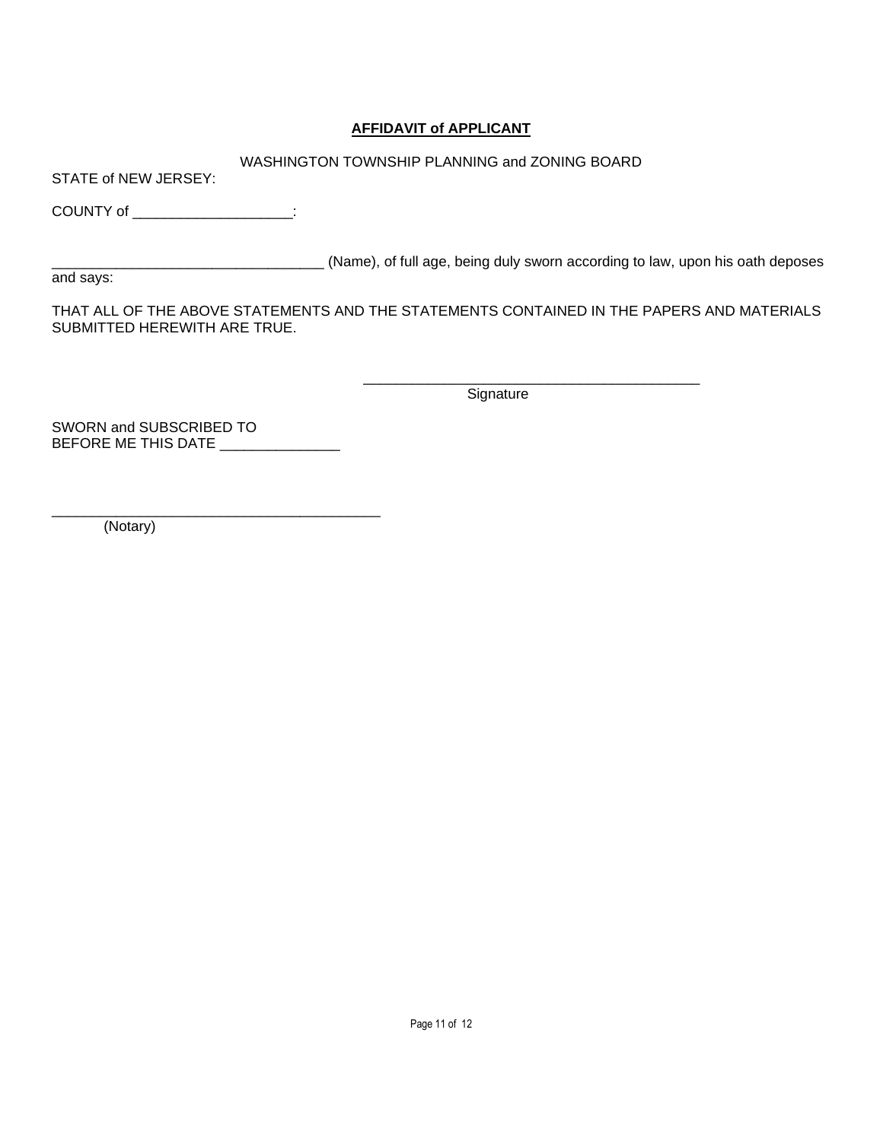#### **AFFIDAVIT of APPLICANT**

#### WASHINGTON TOWNSHIP PLANNING and ZONING BOARD

STATE of NEW JERSEY:

COUNTY of \_\_\_\_\_\_\_\_\_\_\_\_\_\_\_\_\_\_\_\_:

\_\_\_\_\_\_\_\_\_\_\_\_\_\_\_\_\_\_\_\_\_\_\_\_\_\_\_\_\_\_\_\_\_\_ (Name), of full age, being duly sworn according to law, upon his oath deposes

and says:

THAT ALL OF THE ABOVE STATEMENTS AND THE STATEMENTS CONTAINED IN THE PAPERS AND MATERIALS SUBMITTED HEREWITH ARE TRUE.

> \_\_\_\_\_\_\_\_\_\_\_\_\_\_\_\_\_\_\_\_\_\_\_\_\_\_\_\_\_\_\_\_\_\_\_\_\_\_\_\_\_\_ **Signature**

SWORN and SUBSCRIBED TO BEFORE ME THIS DATE \_\_\_\_\_\_\_\_\_\_\_\_\_\_\_

\_\_\_\_\_\_\_\_\_\_\_\_\_\_\_\_\_\_\_\_\_\_\_\_\_\_\_\_\_\_\_\_\_\_\_\_\_\_\_\_\_

(Notary)